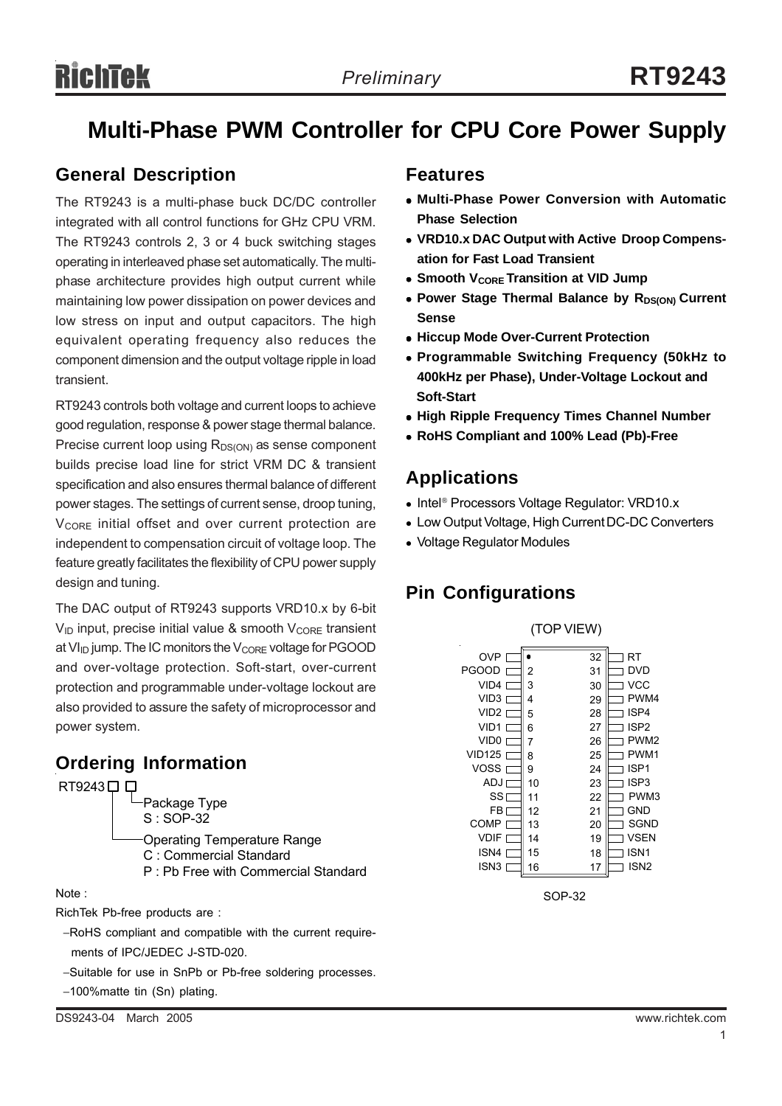# **Multi-Phase PWM Controller for CPU Core Power Supply**

# **General Description**

The RT9243 is a multi-phase buck DC/DC controller integrated with all control functions for GHz CPU VRM. The RT9243 controls 2, 3 or 4 buck switching stages operating in interleaved phase set automatically. The multiphase architecture provides high output current while maintaining low power dissipation on power devices and low stress on input and output capacitors. The high equivalent operating frequency also reduces the component dimension and the output voltage ripple in load transient.

RT9243 controls both voltage and current loops to achieve good regulation, response & power stage thermal balance. Precise current loop using  $R_{DS(ON)}$  as sense component builds precise load line for strict VRM DC & transient specification and also ensures thermal balance of different power stages. The settings of current sense, droop tuning, V<sub>CORE</sub> initial offset and over current protection are independent to compensation circuit of voltage loop. The feature greatly facilitates the flexibility of CPU power supply design and tuning.

The DAC output of RT9243 supports VRD10.x by 6-bit  $V_{ID}$  input, precise initial value & smooth  $V_{CORE}$  transient at  $VI_{ID}$  jump. The IC monitors the  $V_{CORE}$  voltage for PGOOD and over-voltage protection. Soft-start, over-current protection and programmable under-voltage lockout are also provided to assure the safety of microprocessor and power system.

# **Ordering Information**



#### Note :

RichTek Pb-free products are :

- −RoHS compliant and compatible with the current require ments of IPC/JEDEC J-STD-020.
- −Suitable for use in SnPb or Pb-free soldering processes.
- −100%matte tin (Sn) plating.

# **Features**

- <sup>z</sup> **Multi-Phase Power Conversion with Automatic Phase Selection**
- VRD10.x DAC Output with Active Droop Compens**ation for Fast Load Transient**
- **Smooth V<sub>CORE</sub> Transition at VID Jump**
- Power Stage Thermal Balance by R<sub>DS(ON)</sub> Current **Sense**
- **Hiccup Mode Over-Current Protection**
- <sup>z</sup> **Programmable Switching Frequency (50kHz to 400kHz per Phase), Under-Voltage Lockout and Soft-Start**
- **High Ripple Frequency Times Channel Number**
- <sup>z</sup> **RoHS Compliant and 100% Lead (Pb)-Free**

# **Applications**

- Intel® Processors Voltage Regulator: VRD10.x
- Low Output Voltage, High Current DC-DC Converters
- Voltage Regulator Modules

# **Pin Configurations**



SOP-32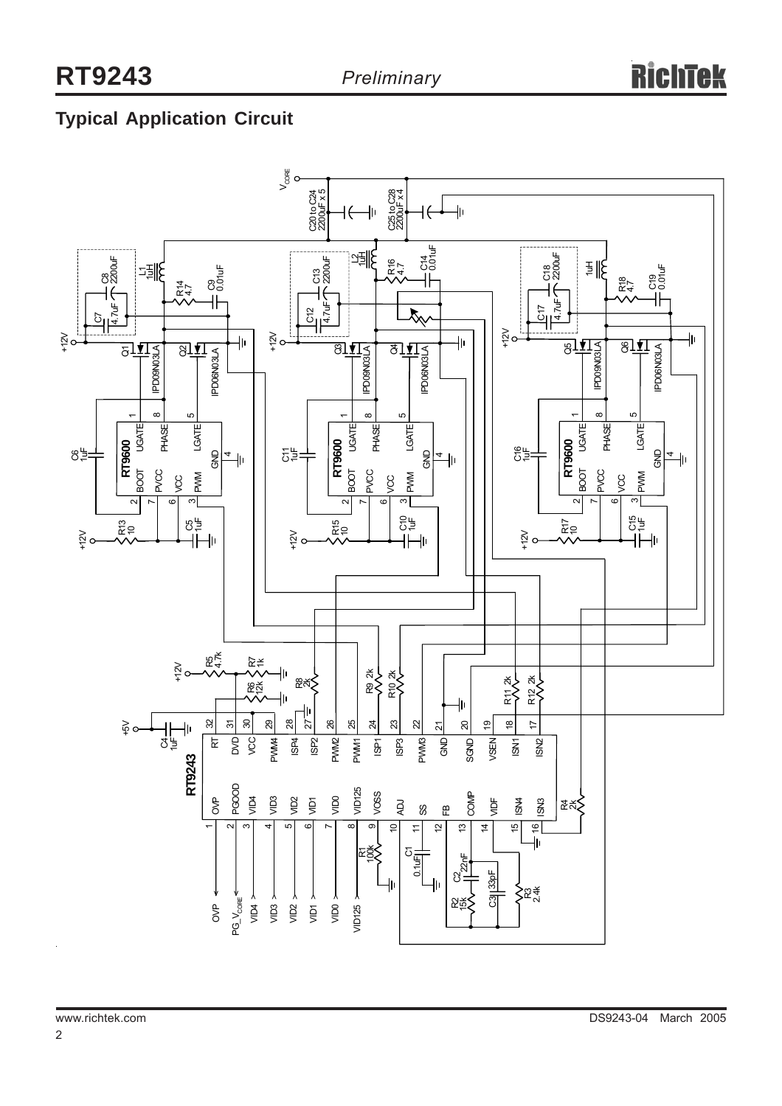# **Typical Application Circuit**

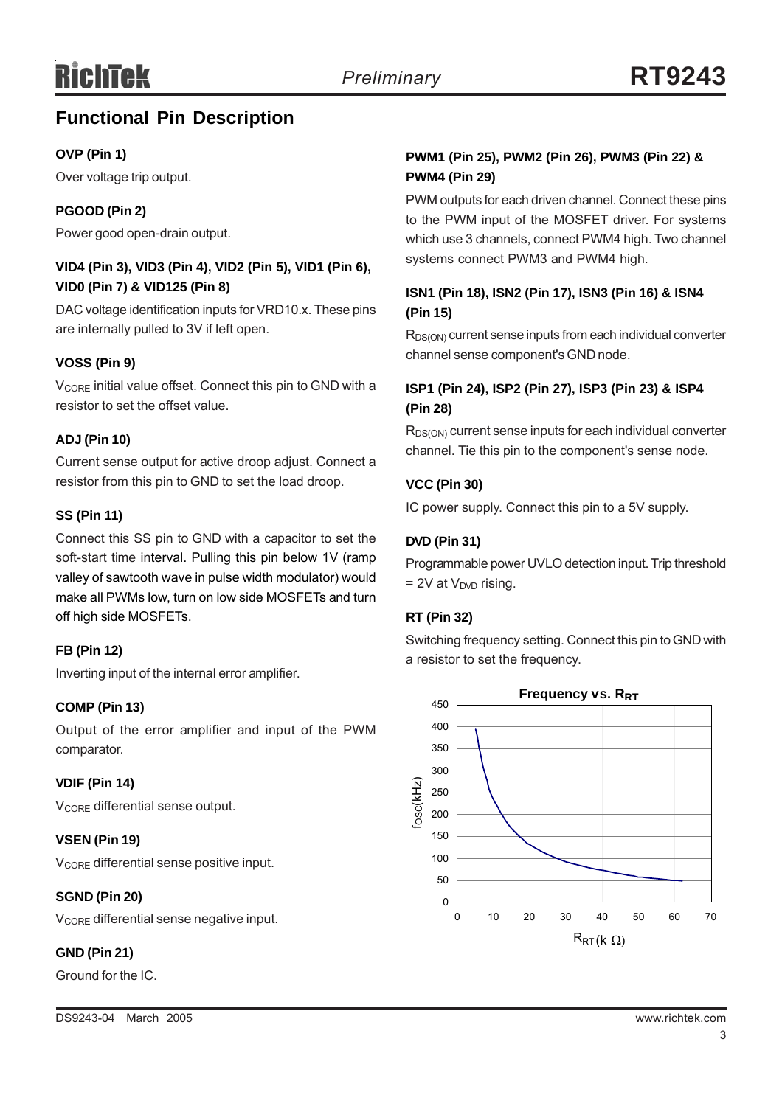# **Functional Pin Description**

## **OVP (Pin 1)**

Over voltage trip output.

## **PGOOD (Pin 2)**

Power good open-drain output.

### **VID4 (Pin 3), VID3 (Pin 4), VID2 (Pin 5), VID1 (Pin 6), VID0 (Pin 7) & VID125 (Pin 8)**

DAC voltage identification inputs for VRD10.x. These pins are internally pulled to 3V if left open.

## **VOSS (Pin 9)**

V<sub>CORE</sub> initial value offset. Connect this pin to GND with a resistor to set the offset value.

### **ADJ (Pin 10)**

Current sense output for active droop adjust. Connect a resistor from this pin to GND to set the load droop.

### **SS (Pin 11)**

Connect this SS pin to GND with a capacitor to set the soft-start time interval. Pulling this pin below 1V (ramp valley of sawtooth wave in pulse width modulator) would make all PWMs low, turn on low side MOSFETs and turn off high side MOSFETs.

### **FB (Pin 12)**

Inverting input of the internal error amplifier.

### **COMP (Pin 13)**

Output of the error amplifier and input of the PWM comparator.

### **VDIF (Pin 14)**

V<sub>CORE</sub> differential sense output.

### **VSEN (Pin 19)**

V<sub>CORE</sub> differential sense positive input.

### **SGND (Pin 20)**

V<sub>CORE</sub> differential sense negative input.

## **GND (Pin 21)**

Ground for the IC.

## **PWM1 (Pin 25), PWM2 (Pin 26), PWM3 (Pin 22) & PWM4 (Pin 29)**

PWM outputs for each driven channel. Connect these pins to the PWM input of the MOSFET driver. For systems which use 3 channels, connect PWM4 high. Two channel systems connect PWM3 and PWM4 high.

## **ISN1 (Pin 18), ISN2 (Pin 17), ISN3 (Pin 16) & ISN4 (Pin 15)**

R<sub>DS(ON)</sub> current sense inputs from each individual converter channel sense component's GND node.

## **ISP1 (Pin 24), ISP2 (Pin 27), ISP3 (Pin 23) & ISP4 (Pin 28)**

R<sub>DS(ON)</sub> current sense inputs for each individual converter channel. Tie this pin to the component's sense node.

## **VCC (Pin 30)**

IC power supply. Connect this pin to a 5V supply.

## **DVD (Pin 31)**

Programmable power UVLO detection input. Trip threshold  $= 2V$  at  $V_{\text{DVD}}$  rising.

### **RT (Pin 32)**

Switching frequency setting. Connect this pin to GND with a resistor to set the frequency.

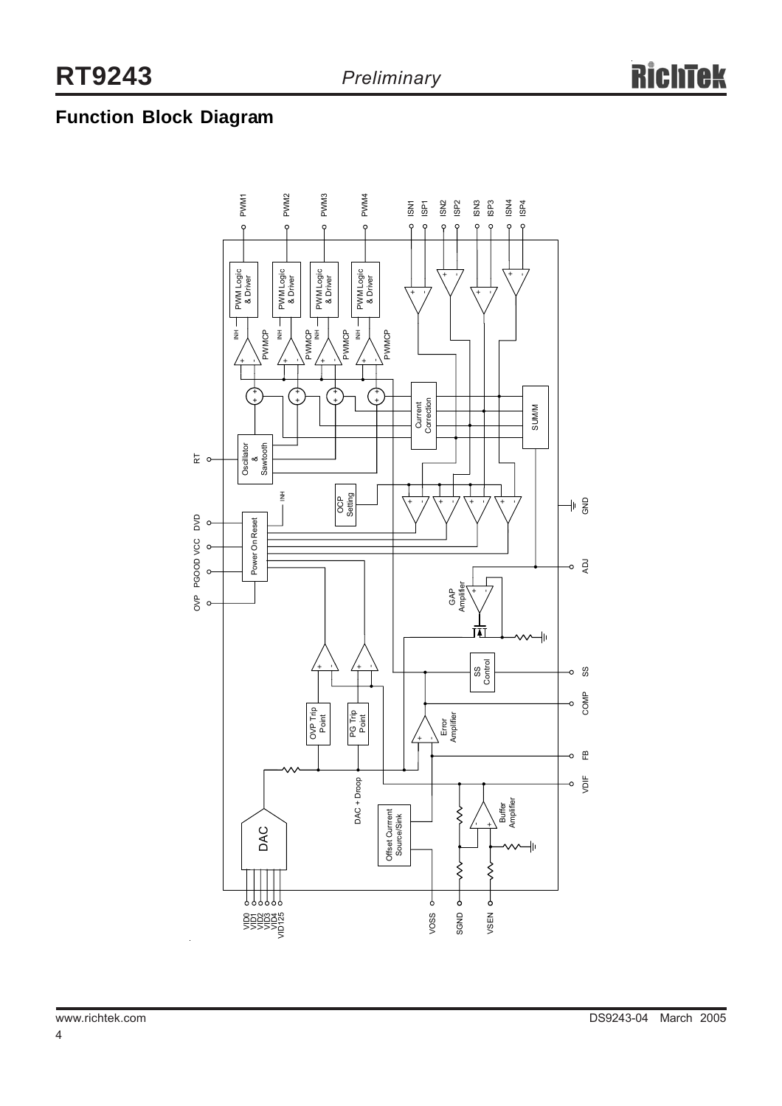# **Function Block Diagram**

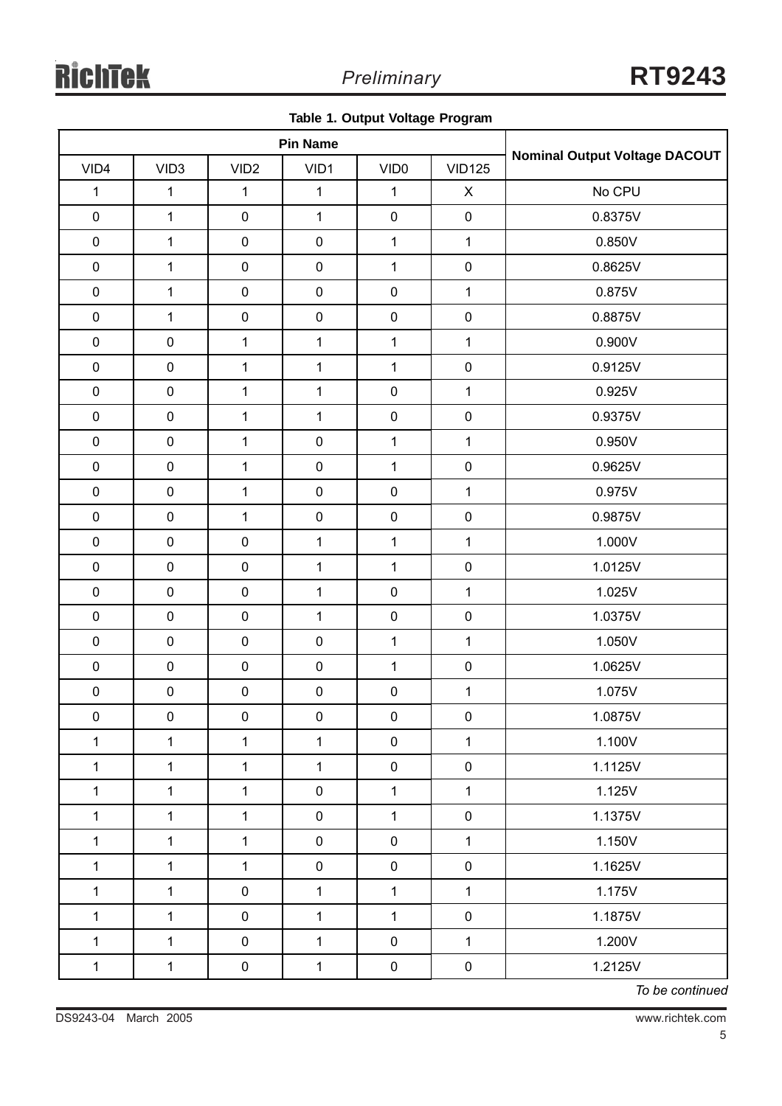|  |  |  | Table 1. Output Voltage Program |
|--|--|--|---------------------------------|
|--|--|--|---------------------------------|

| <b>Pin Name</b> |                  |                     |              |                  |                |                               |
|-----------------|------------------|---------------------|--------------|------------------|----------------|-------------------------------|
| VID4            | VID <sub>3</sub> | VID <sub>2</sub>    | VID1         | VID <sub>0</sub> | <b>VID125</b>  | Nominal Output Voltage DACOUT |
| $\mathbf 1$     | $\mathbf{1}$     | $\mathbf{1}$        | $\mathbf{1}$ | $\mathbf{1}$     | $\pmb{\times}$ | No CPU                        |
| $\pmb{0}$       | $\mathbf{1}$     | $\pmb{0}$           | $\mathbf 1$  | $\pmb{0}$        | $\pmb{0}$      | 0.8375V                       |
| $\pmb{0}$       | $\mathbf{1}$     | $\pmb{0}$           | $\pmb{0}$    | $\mathbf 1$      | $\mathbf{1}$   | 0.850V                        |
| $\pmb{0}$       | $\mathbf{1}$     | $\pmb{0}$           | $\pmb{0}$    | $\mathbf{1}$     | $\mathsf 0$    | 0.8625V                       |
| $\pmb{0}$       | $\mathbf 1$      | $\pmb{0}$           | $\pmb{0}$    | $\pmb{0}$        | $\mathbf{1}$   | 0.875V                        |
| $\pmb{0}$       | $\mathbf{1}$     | $\pmb{0}$           | $\pmb{0}$    | $\pmb{0}$        | $\pmb{0}$      | 0.8875V                       |
| $\pmb{0}$       | $\pmb{0}$        | $\mathbf{1}$        | $\mathbf 1$  | $\mathbf{1}$     | $\mathbf{1}$   | 0.900V                        |
| $\mathbf 0$     | $\pmb{0}$        | $\mathbf{1}$        | $\mathbf 1$  | $\mathbf 1$      | $\mathsf 0$    | 0.9125V                       |
| $\pmb{0}$       | $\pmb{0}$        | $\mathbf{1}$        | $\mathbf{1}$ | $\pmb{0}$        | $\mathbf{1}$   | 0.925V                        |
| $\pmb{0}$       | $\pmb{0}$        | $\mathbf{1}$        | $\mathbf{1}$ | $\pmb{0}$        | $\pmb{0}$      | 0.9375V                       |
| $\pmb{0}$       | $\pmb{0}$        | $\mathbf{1}$        | $\pmb{0}$    | $\mathbf{1}$     | $\mathbf 1$    | 0.950V                        |
| $\pmb{0}$       | $\pmb{0}$        | $\mathbf{1}$        | $\pmb{0}$    | $\mathbf 1$      | $\pmb{0}$      | 0.9625V                       |
| $\mathbf 0$     | $\pmb{0}$        | $\mathbf{1}$        | $\pmb{0}$    | $\pmb{0}$        | $\mathbf{1}$   | 0.975V                        |
| $\pmb{0}$       | $\pmb{0}$        | $\mathbf{1}$        | $\pmb{0}$    | $\pmb{0}$        | $\pmb{0}$      | 0.9875V                       |
| $\pmb{0}$       | $\pmb{0}$        | $\pmb{0}$           | $\mathbf{1}$ | $\mathbf{1}$     | $\mathbf{1}$   | 1.000V                        |
| $\pmb{0}$       | $\pmb{0}$        | $\pmb{0}$           | $\mathbf{1}$ | $\mathbf 1$      | $\mathsf 0$    | 1.0125V                       |
| $\pmb{0}$       | $\pmb{0}$        | $\pmb{0}$           | $\mathbf{1}$ | $\pmb{0}$        | $\mathbf{1}$   | 1.025V                        |
| $\mathbf 0$     | $\pmb{0}$        | $\pmb{0}$           | $\mathbf{1}$ | $\pmb{0}$        | $\pmb{0}$      | 1.0375V                       |
| $\pmb{0}$       | $\pmb{0}$        | $\pmb{0}$           | $\pmb{0}$    | $\mathbf{1}$     | $\mathbf{1}$   | 1.050V                        |
| $\pmb{0}$       | $\pmb{0}$        | $\pmb{0}$           | $\pmb{0}$    | $\mathbf 1$      | $\pmb{0}$      | 1.0625V                       |
| $\pmb{0}$       | $\pmb{0}$        | $\pmb{0}$           | $\pmb{0}$    | $\pmb{0}$        | $\mathbf{1}$   | 1.075V                        |
| $\pmb{0}$       | $\pmb{0}$        | $\mathsf{O}\xspace$ | $\pmb{0}$    | $\pmb{0}$        | $\overline{0}$ | 1.0875V                       |
| $\mathbf{1}$    | $\mathbf{1}$     | $\mathbf{1}$        | $\mathbf 1$  | $\pmb{0}$        | $\mathbf{1}$   | 1.100V                        |
| $\mathbf{1}$    | $\mathbf{1}$     | $\mathbf{1}$        | $\mathbf 1$  | $\pmb{0}$        | $\pmb{0}$      | 1.1125V                       |
| $\mathbf{1}$    | $\mathbf{1}$     | $\mathbf{1}$        | $\pmb{0}$    | $\mathbf{1}$     | $\mathbf{1}$   | 1.125V                        |
| $\mathbf{1}$    | $\mathbf{1}$     | $\mathbf{1}$        | $\pmb{0}$    | $\mathbf{1}$     | $\pmb{0}$      | 1.1375V                       |
| $\mathbf{1}$    | $\mathbf{1}$     | $\mathbf{1}$        | $\pmb{0}$    | $\pmb{0}$        | $\mathbf{1}$   | 1.150V                        |
| $\mathbf{1}$    | $\mathbf{1}$     | $\mathbf{1}$        | $\pmb{0}$    | $\mathbf 0$      | $\pmb{0}$      | 1.1625V                       |
| $\mathbf{1}$    | $\mathbf{1}$     | $\pmb{0}$           | $\mathbf{1}$ | $\mathbf{1}$     | $\mathbf{1}$   | 1.175V                        |
| $\mathbf{1}$    | $\mathbf{1}$     | $\pmb{0}$           | $\mathbf{1}$ | $\mathbf{1}$     | $\pmb{0}$      | 1.1875V                       |
| $\mathbf{1}$    | $\mathbf{1}$     | $\mathbf 0$         | $\mathbf{1}$ | $\pmb{0}$        | $\mathbf{1}$   | 1.200V                        |
| $\mathbf{1}$    | $\mathbf 1$      | $\pmb{0}$           | $\mathbf 1$  | $\mathbf 0$      | $\pmb{0}$      | 1.2125V                       |

*To be continued*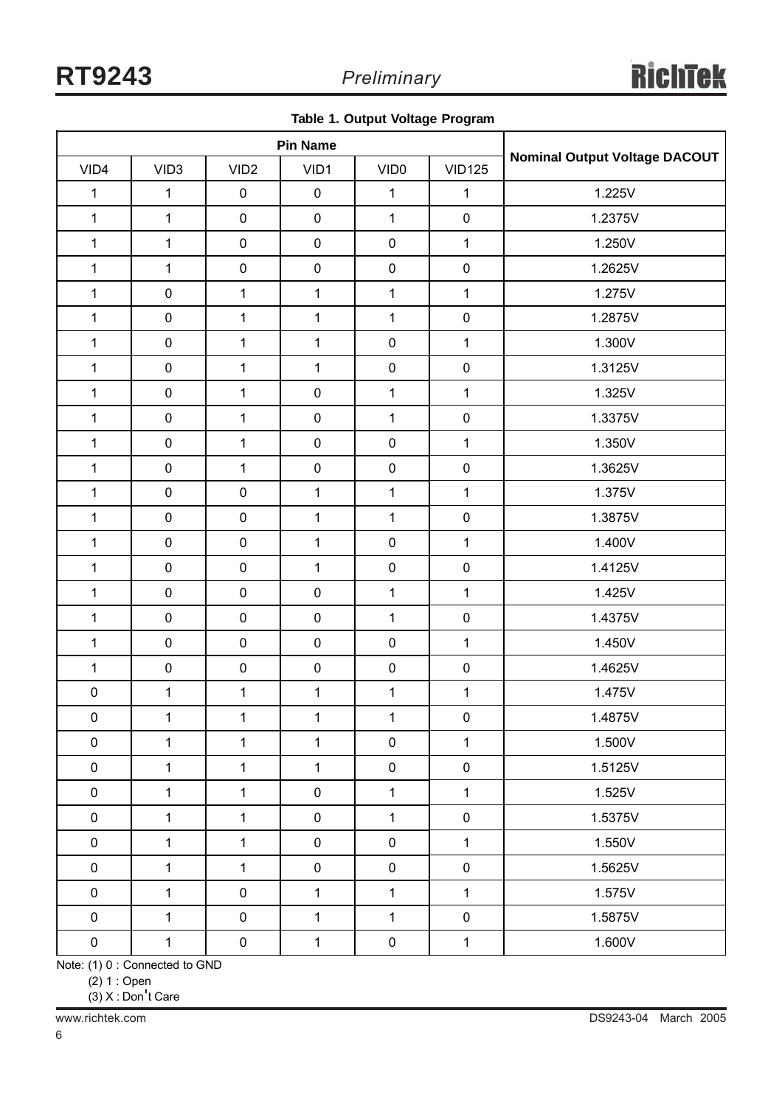|  |  |  |  | Table 1. Output Voltage Program |
|--|--|--|--|---------------------------------|
|--|--|--|--|---------------------------------|

| <b>Pin Name</b> |                  |                  |              |                     |               |                                      |
|-----------------|------------------|------------------|--------------|---------------------|---------------|--------------------------------------|
| VID4            | VID <sub>3</sub> | VID <sub>2</sub> | VID1         | VID <sub>0</sub>    | <b>VID125</b> | <b>Nominal Output Voltage DACOUT</b> |
| $\mathbf{1}$    | $\mathbf 1$      | $\pmb{0}$        | $\pmb{0}$    | $\mathbf 1$         | $\mathbf 1$   | 1.225V                               |
| $\mathbf{1}$    | $\mathbf{1}$     | $\pmb{0}$        | $\pmb{0}$    | $\mathbf{1}$        | $\pmb{0}$     | 1.2375V                              |
| $\mathbf{1}$    | 1                | $\pmb{0}$        | $\pmb{0}$    | $\pmb{0}$           | $\mathbf{1}$  | 1.250V                               |
| $\mathbf{1}$    | $\mathbf{1}$     | $\pmb{0}$        | $\pmb{0}$    | $\pmb{0}$           | $\pmb{0}$     | 1.2625V                              |
| $\mathbf{1}$    | $\pmb{0}$        | $\mathbf{1}$     | $\mathbf{1}$ | $\mathbf{1}$        | $\mathbf{1}$  | 1.275V                               |
| $\mathbf 1$     | $\pmb{0}$        | $\mathbf{1}$     | $\mathbf{1}$ | $\mathbf{1}$        | $\pmb{0}$     | 1.2875V                              |
| $\mathbf{1}$    | $\pmb{0}$        | $\mathbf 1$      | $\mathbf{1}$ | $\pmb{0}$           | $\mathbf{1}$  | 1.300V                               |
| $\mathbf{1}$    | $\pmb{0}$        | $\mathbf 1$      | $\mathbf{1}$ | $\pmb{0}$           | $\pmb{0}$     | 1.3125V                              |
| $\mathbf{1}$    | $\pmb{0}$        | $\mathbf{1}$     | $\pmb{0}$    | $\mathbf{1}$        | $\mathbf{1}$  | 1.325V                               |
| $\mathbf{1}$    | $\pmb{0}$        | $\mathbf{1}$     | $\pmb{0}$    | $\mathbf{1}$        | $\pmb{0}$     | 1.3375V                              |
| $\mathbf 1$     | $\pmb{0}$        | $\mathbf{1}$     | $\pmb{0}$    | $\pmb{0}$           | $\mathbf{1}$  | 1.350V                               |
| $\mathbf{1}$    | $\pmb{0}$        | $\mathbf{1}$     | $\pmb{0}$    | $\pmb{0}$           | $\pmb{0}$     | 1.3625V                              |
| $\mathbf{1}$    | $\pmb{0}$        | $\pmb{0}$        | $\mathbf{1}$ | $\mathbf{1}$        | $\mathbf{1}$  | 1.375V                               |
| $\mathbf{1}$    | $\pmb{0}$        | $\pmb{0}$        | $\mathbf{1}$ | $\mathbf{1}$        | $\pmb{0}$     | 1.3875V                              |
| $\mathbf{1}$    | $\pmb{0}$        | $\pmb{0}$        | $\mathbf{1}$ | $\pmb{0}$           | $\mathbf{1}$  | 1.400V                               |
| $\mathbf{1}$    | $\pmb{0}$        | $\pmb{0}$        | $\mathbf{1}$ | $\pmb{0}$           | $\mathbf 0$   | 1.4125V                              |
| $\mathbf{1}$    | $\pmb{0}$        | $\pmb{0}$        | $\pmb{0}$    | $\mathbf{1}$        | $\mathbf{1}$  | 1.425V                               |
| $\mathbf 1$     | $\pmb{0}$        | $\pmb{0}$        | $\pmb{0}$    | $\overline{1}$      | $\pmb{0}$     | 1.4375V                              |
| $\mathbf{1}$    | $\pmb{0}$        | $\pmb{0}$        | $\pmb{0}$    | $\pmb{0}$           | $\mathbf{1}$  | 1.450V                               |
| $\mathbf{1}$    | $\pmb{0}$        | $\pmb{0}$        | $\pmb{0}$    | $\pmb{0}$           | $\pmb{0}$     | 1.4625V                              |
| $\pmb{0}$       | 1                | $\mathbf{1}$     | $\mathbf{1}$ | $\mathbf{1}$        | $\mathbf{1}$  | 1.475V                               |
| $\pmb{0}$       | $\mathbf{1}$     | $\mathbf{1}$     | $\mathbf 1$  | $\mathbf 1$         | $\pmb{0}$     | 1.4875V                              |
| $\pmb{0}$       | $\mathbf{1}$     | $\mathbf{1}$     | $\mathbf{1}$ | $\mathsf{O}\xspace$ | $\mathbf{1}$  | 1.500V                               |
| $\pmb{0}$       | $\mathbf{1}$     | $\mathbf{1}$     | $\mathbf{1}$ | $\mathsf{O}\xspace$ | $\pmb{0}$     | 1.5125V                              |
| $\pmb{0}$       | $\mathbf{1}$     | $\mathbf{1}$     | $\pmb{0}$    | $\mathbf{1}$        | $\mathbf{1}$  | 1.525V                               |
| $\pmb{0}$       | $\mathbf{1}$     | $\mathbf{1}$     | $\pmb{0}$    | $\mathbf{1}$        | $\pmb{0}$     | 1.5375V                              |
| $\pmb{0}$       | $\mathbf{1}$     | $\mathbf{1}$     | $\pmb{0}$    | $\pmb{0}$           | $\mathbf{1}$  | 1.550V                               |
| $\pmb{0}$       | $\mathbf{1}$     | $\mathbf{1}$     | $\pmb{0}$    | $\pmb{0}$           | $\pmb{0}$     | 1.5625V                              |
| $\pmb{0}$       | $\mathbf{1}$     | $\pmb{0}$        | $\mathbf{1}$ | $\mathbf{1}$        | $\mathbf{1}$  | 1.575V                               |
| $\mathbf 0$     | $\mathbf{1}$     | $\pmb{0}$        | $\mathbf{1}$ | $\mathbf{1}$        | $\pmb{0}$     | 1.5875V                              |
| $\pmb{0}$       | $\mathbf{1}$     | $\mathbf 0$      | $\mathbf{1}$ | $\mathbf 0$         | $\mathbf{1}$  | 1.600V                               |

Note: (1) 0 : Connected to GND

(2) 1 : Open

(3) X : Don't Care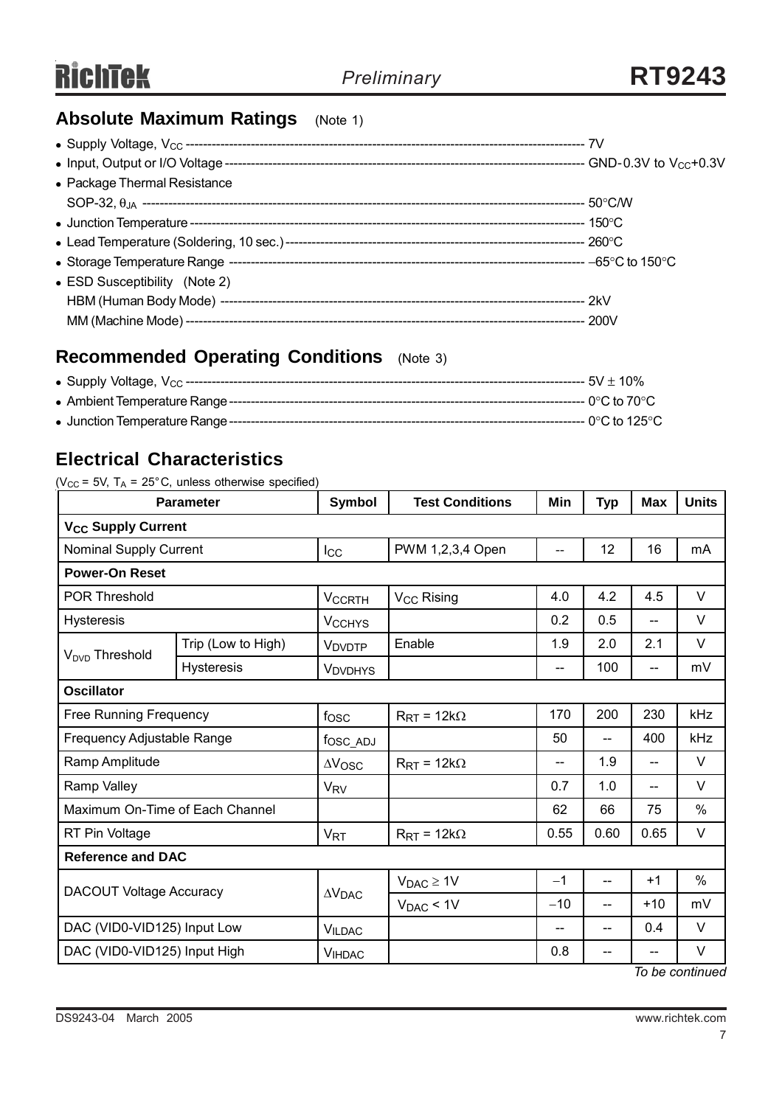# **Absolute Maximum Ratings** (Note 1)

| • Package Thermal Resistance  |  |
|-------------------------------|--|
|                               |  |
|                               |  |
|                               |  |
|                               |  |
| • ESD Susceptibility (Note 2) |  |
|                               |  |
|                               |  |

# **Recommended Operating Conditions** (Note 3)

# **Electrical Characteristics**

| <b>Parameter</b>                     |                    | <b>Symbol</b>            | <b>Test Conditions</b>         | Min   | <b>Typ</b> | <b>Max</b>               | <b>Units</b> |
|--------------------------------------|--------------------|--------------------------|--------------------------------|-------|------------|--------------------------|--------------|
| <b>V<sub>CC</sub> Supply Current</b> |                    |                          |                                |       |            |                          |              |
| <b>Nominal Supply Current</b>        |                    | $I_{\rm CC}$             | PWM 1,2,3,4 Open               |       | 12         | 16                       | mA           |
| <b>Power-On Reset</b>                |                    |                          |                                |       |            |                          |              |
| <b>POR Threshold</b>                 |                    | <b>VCCRTH</b>            | V <sub>CC</sub> Rising         | 4.0   | 4.2        | 4.5                      | $\vee$       |
| <b>Hysteresis</b>                    |                    | <b>V<sub>CCHYS</sub></b> |                                | 0.2   | 0.5        | --                       | $\vee$       |
| V <sub>DVD</sub> Threshold           | Trip (Low to High) | V <sub>DVDTP</sub>       | Enable                         | 1.9   | 2.0        | 2.1                      | V            |
|                                      | <b>Hysteresis</b>  | <b>VDVDHYS</b>           |                                | --    | 100        | --                       | mV           |
| <b>Oscillator</b>                    |                    |                          |                                |       |            |                          |              |
| <b>Free Running Frequency</b>        |                    | fosc                     | $R_{\text{RT}}$ = 12k $\Omega$ | 170   | 200        | 230                      | kHz          |
| Frequency Adjustable Range           |                    | fosc_ADJ                 |                                | 50    | $-$        | 400                      | kHz          |
| Ramp Amplitude                       |                    | $\Delta V$ OSC           | $R_{\text{RT}}$ = 12k $\Omega$ | --    | 1.9        | $\overline{\phantom{a}}$ | V            |
| Ramp Valley                          |                    | <b>V<sub>RV</sub></b>    |                                | 0.7   | 1.0        | --                       | $\vee$       |
| Maximum On-Time of Each Channel      |                    |                          |                                | 62    | 66         | 75                       | %            |
| RT Pin Voltage                       |                    | <b>V<sub>RT</sub></b>    | $R_{\text{RT}} = 12k\Omega$    | 0.55  | 0.60       | 0.65                     | V            |
| <b>Reference and DAC</b>             |                    |                          |                                |       |            |                          |              |
|                                      |                    |                          | $V_{DAC} \geq 1V$              | $-1$  | $-$        | $+1$                     | %            |
| <b>DACOUT Voltage Accuracy</b>       |                    | $\Delta V_{\text{DAC}}$  | $V_{DAC}$ < 1V                 | $-10$ | $-$        | $+10$                    | mV           |
| DAC (VID0-VID125) Input Low          |                    | <b>VILDAC</b>            |                                |       | $-$        | 0.4                      | V            |
| DAC (VID0-VID125) Input High         |                    | <b>VIHDAC</b>            |                                | 0.8   | --         | $\hspace{0.05cm}$        | V            |

*To be continued*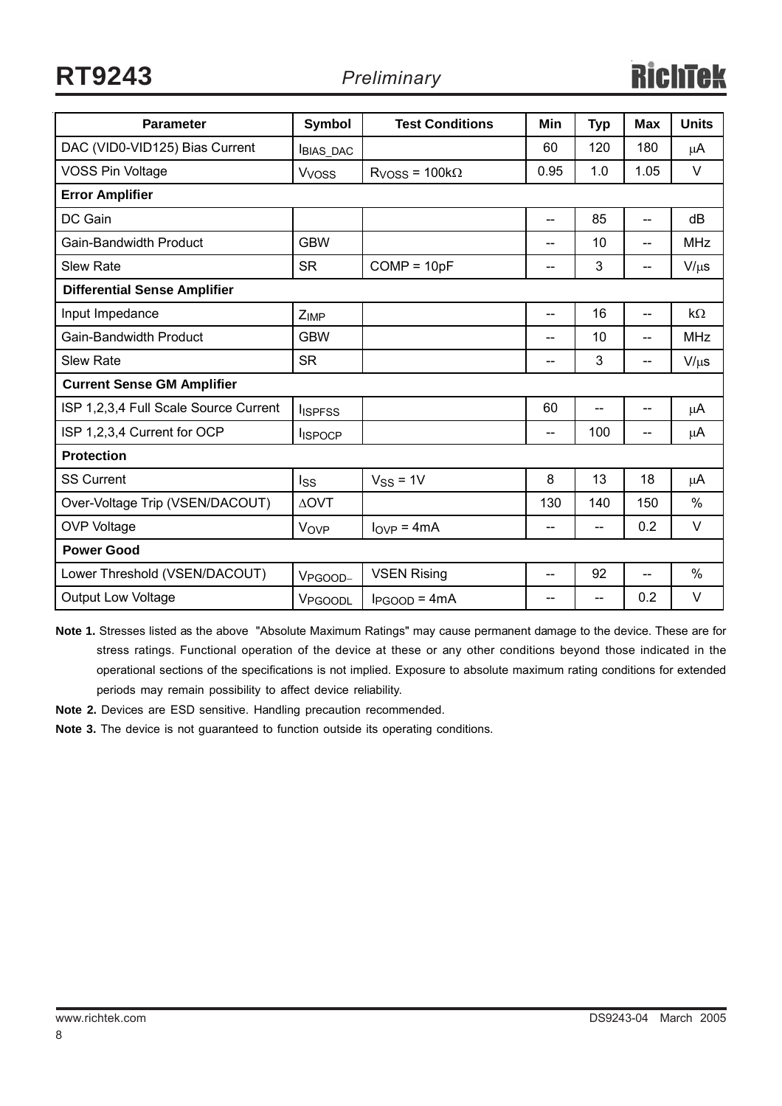**RT9243** *Preliminary*

| <b>Parameter</b>                      | <b>Symbol</b>           | <b>Test Conditions</b> | Min                      | <b>Typ</b> | <b>Max</b> | <b>Units</b> |
|---------------------------------------|-------------------------|------------------------|--------------------------|------------|------------|--------------|
|                                       |                         |                        |                          |            |            |              |
| DAC (VID0-VID125) Bias Current        | <b>BIAS DAC</b>         |                        | 60                       | 120        | 180        | μA           |
| <b>VOSS Pin Voltage</b>               | <b>V<sub>voss</sub></b> | $RVOSS = 100k\Omega$   | 0.95                     | 1.0        | 1.05       | $\vee$       |
| <b>Error Amplifier</b>                |                         |                        |                          |            |            |              |
| DC Gain                               |                         |                        | $-$                      | 85         | --         | dB           |
| <b>Gain-Bandwidth Product</b>         | <b>GBW</b>              |                        | $\overline{\phantom{a}}$ | 10         | --         | <b>MHz</b>   |
| <b>Slew Rate</b>                      | <b>SR</b>               | $COMP = 10pF$          | --                       | 3          | --         | $V/\mu s$    |
| <b>Differential Sense Amplifier</b>   |                         |                        |                          |            |            |              |
| Input Impedance                       | $Z_{IMP}$               |                        | --                       | 16         | --         | $k\Omega$    |
| <b>Gain-Bandwidth Product</b>         | <b>GBW</b>              |                        | $- -$                    | 10         | $-$        | <b>MHz</b>   |
| <b>Slew Rate</b>                      | <b>SR</b>               |                        | --                       | 3          | --         | $V/\mu s$    |
| <b>Current Sense GM Amplifier</b>     |                         |                        |                          |            |            |              |
| ISP 1,2,3,4 Full Scale Source Current | <b>I</b> ISPFSS         |                        | 60                       | $-$        | --         | μA           |
| ISP 1,2,3,4 Current for OCP           | <b>I</b> ISPOCP         |                        | --                       | 100        | $-$        | μA           |
| <b>Protection</b>                     |                         |                        |                          |            |            |              |
| <b>SS Current</b>                     | Iss                     | $V_{SS} = 1V$          | 8                        | 13         | 18         | μA           |
| Over-Voltage Trip (VSEN/DACOUT)       | <b>AOVT</b>             |                        | 130                      | 140        | 150        | $\%$         |
| <b>OVP Voltage</b>                    | Vove                    | $I_{OVP} = 4mA$        | --                       | $-$        | 0.2        | V            |
| <b>Power Good</b>                     |                         |                        |                          |            |            |              |
| Lower Threshold (VSEN/DACOUT)         | VPGOOD-                 | <b>VSEN Rising</b>     | $\overline{\phantom{a}}$ | 92         | $-$        | $\%$         |
| <b>Output Low Voltage</b>             | VPGOODL                 | $I_{PGOOD} = 4mA$      | --                       | --         | 0.2        | $\vee$       |

**Note 1.** Stresses listed as the above "Absolute Maximum Ratings" may cause permanent damage to the device. These are for stress ratings. Functional operation of the device at these or any other conditions beyond those indicated in the operational sections of the specifications is not implied. Exposure to absolute maximum rating conditions for extended periods may remain possibility to affect device reliability.

**Note 2.** Devices are ESD sensitive. Handling precaution recommended.

**Note 3.** The device is not guaranteed to function outside its operating conditions.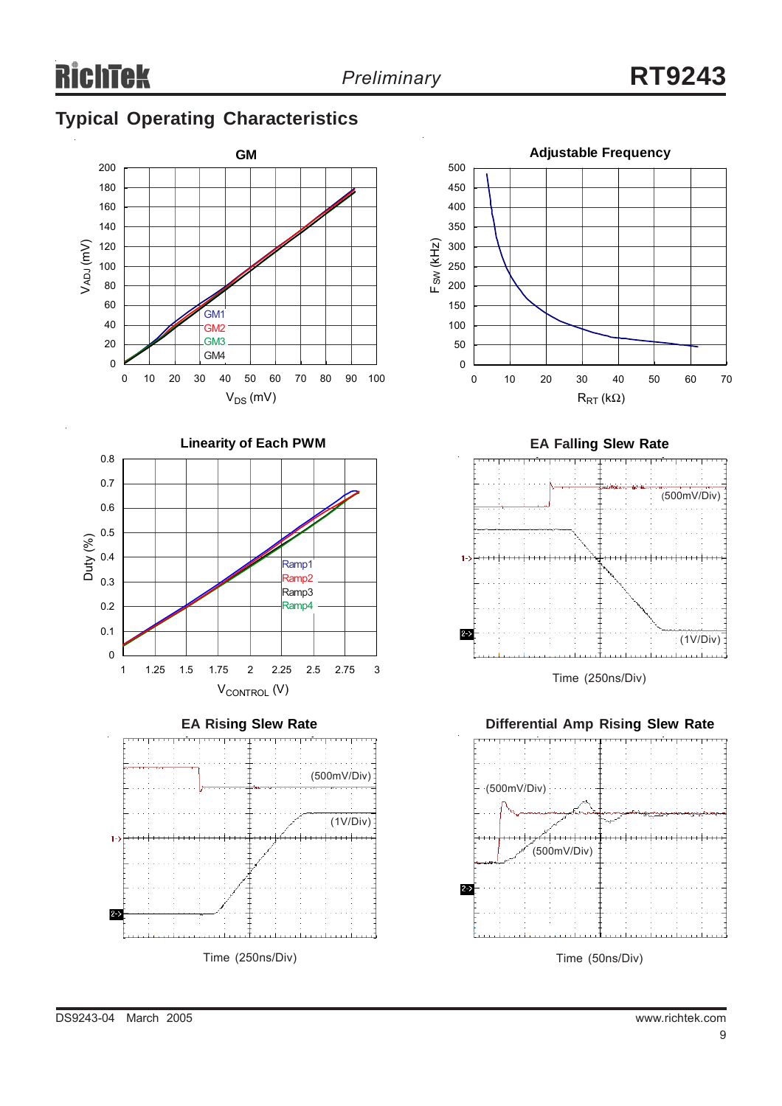# **Typical Operating Characteristics**











Time (250ns/Div)

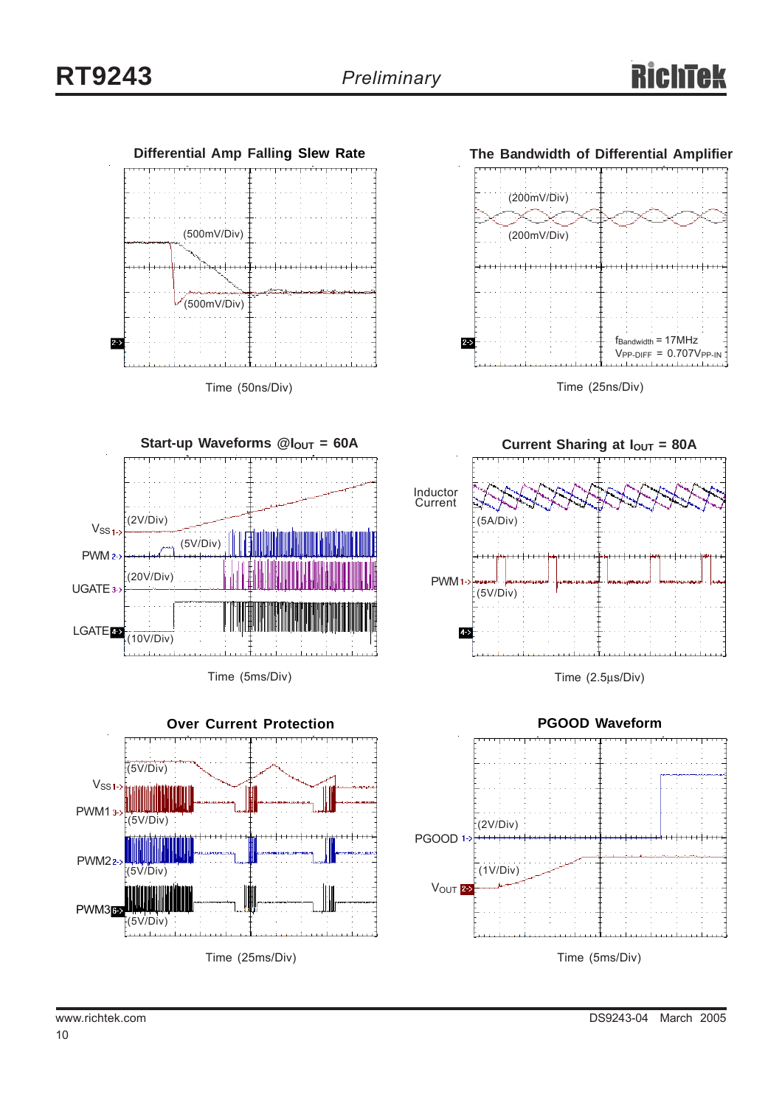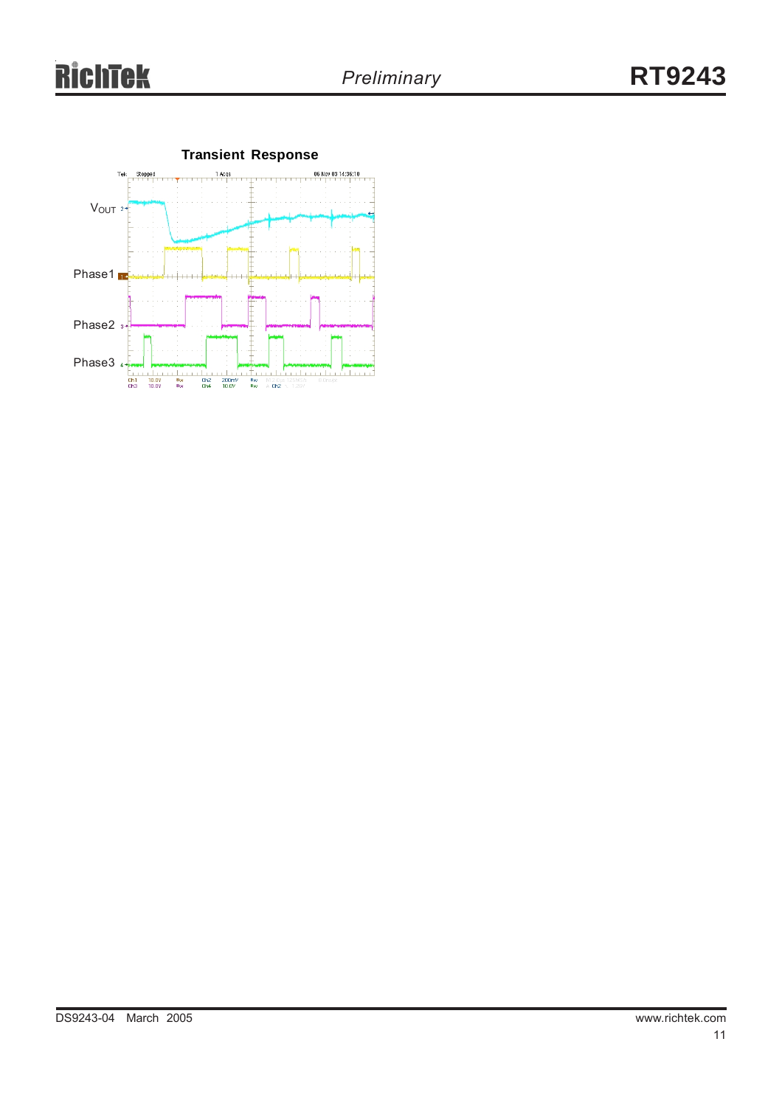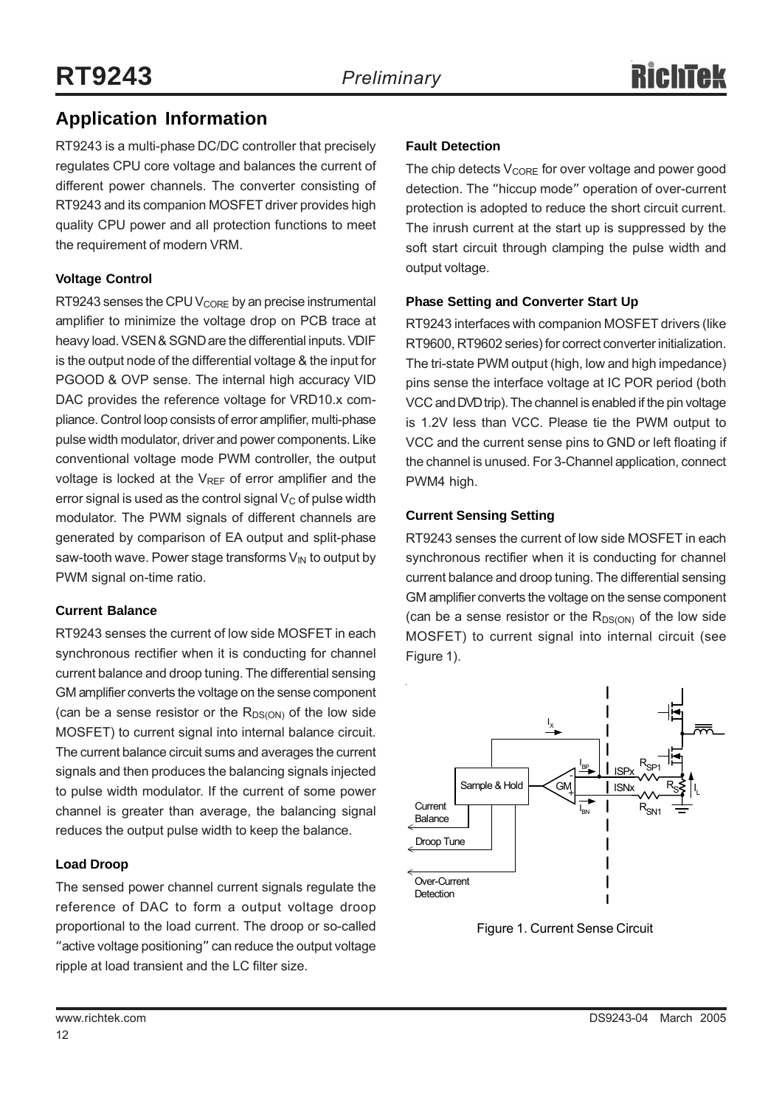# **Application Information**

RT9243 is a multi-phase DC/DC controller that precisely regulates CPU core voltage and balances the current of different power channels. The converter consisting of RT9243 and its companion MOSFET driver provides high quality CPU power and all protection functions to meet the requirement of modern VRM.

## **Voltage Control**

RT9243 senses the CPU  $V_{\text{CORE}}$  by an precise instrumental amplifier to minimize the voltage drop on PCB trace at heavy load. VSEN & SGND are the differential inputs. VDIF is the output node of the differential voltage & the input for PGOOD & OVP sense. The internal high accuracy VID DAC provides the reference voltage for VRD10.x compliance. Control loop consists of error amplifier, multi-phase pulse width modulator, driver and power components. Like conventional voltage mode PWM controller, the output voltage is locked at the  $V_{REF}$  of error amplifier and the error signal is used as the control signal  $V_C$  of pulse width modulator. The PWM signals of different channels are generated by comparison of EA output and split-phase saw-tooth wave. Power stage transforms  $V_{\text{IN}}$  to output by PWM signal on-time ratio.

## **Current Balance**

RT9243 senses the current of low side MOSFET in each synchronous rectifier when it is conducting for channel current balance and droop tuning. The differential sensing GM amplifier converts the voltage on the sense component (can be a sense resistor or the  $R_{DS(ON)}$  of the low side MOSFET) to current signal into internal balance circuit. The current balance circuit sums and averages the current signals and then produces the balancing signals injected to pulse width modulator. If the current of some power channel is greater than average, the balancing signal reduces the output pulse width to keep the balance.

## **Load Droop**

The sensed power channel current signals regulate the reference of DAC to form a output voltage droop proportional to the load current. The droop or so-called "active voltage positioning" can reduce the output voltage ripple at load transient and the LC filter size.

## **Fault Detection**

The chip detects  $V_{\text{CORE}}$  for over voltage and power good detection. The "hiccup mode" operation of over-current protection is adopted to reduce the short circuit current. The inrush current at the start up is suppressed by the soft start circuit through clamping the pulse width and output voltage.

## **Phase Setting and Converter Start Up**

RT9243 interfaces with companion MOSFET drivers (like RT9600, RT9602 series) for correct converter initialization. The tri-state PWM output (high, low and high impedance) pins sense the interface voltage at IC POR period (both VCC and DVD trip). The channel is enabled if the pin voltage is 1.2V less than VCC. Please tie the PWM output to VCC and the current sense pins to GND or left floating if the channel is unused. For 3-Channel application, connect PWM4 high.

## **Current Sensing Setting**

RT9243 senses the current of low side MOSFET in each synchronous rectifier when it is conducting for channel current balance and droop tuning. The differential sensing GM amplifier converts the voltage on the sense component (can be a sense resistor or the  $R_{DS(ON)}$  of the low side MOSFET) to current signal into internal circuit (see Figure 1).



Figure 1. Current Sense Circuit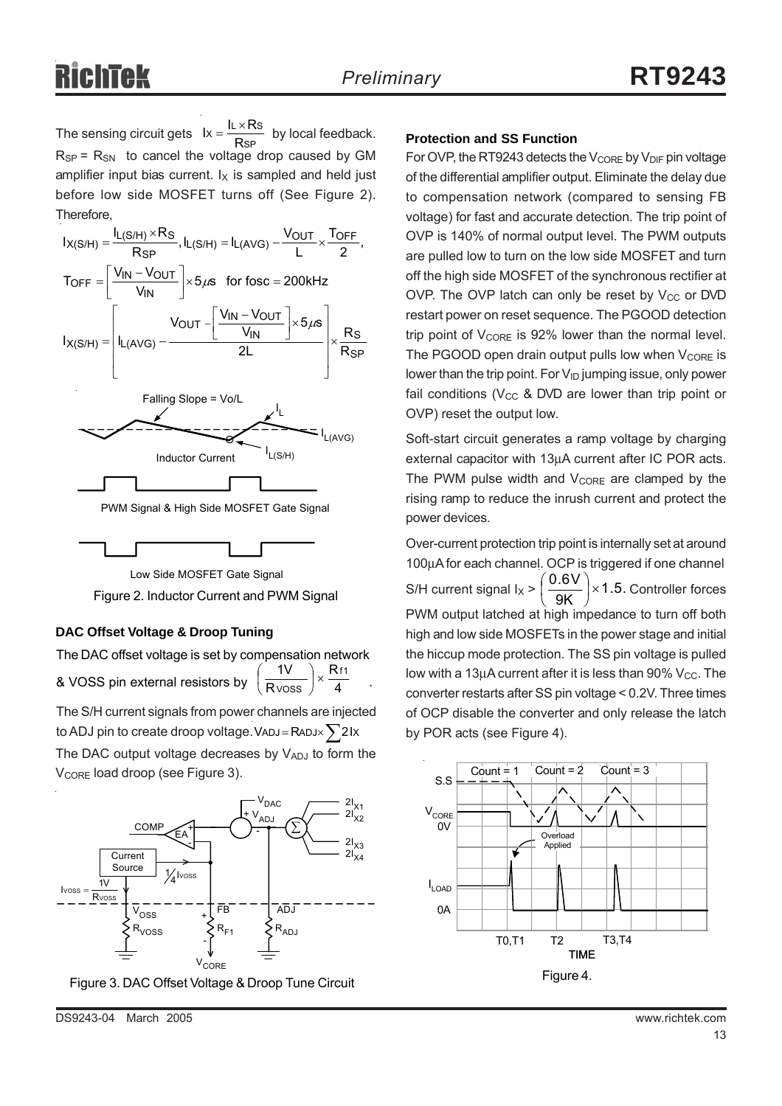The sensing circuit gets  $Ix = \frac{RATCO}{RSP}$  by local feedback. **Protection and SS Function**  $R_{SP}$  =  $R_{SN}$  to cancel the voltage drop caused by GM amplifier input bias current.  $I_X$  is sampled and held just before low side MOSFET turns off (See Figure 2). Therefore,  $lx = \frac{IL \times Rs}{RsP}$ 





Low Side MOSFET Gate Signal

Figure 2. Inductor Current and PWM Signal

### **DAC Offset Voltage & Droop Tuning**

The DAC offset voltage is set by compensation network & VOSS pin external resistors by  $\left(\frac{1}{R \text{V} \text{OSS}}\right)^{\times} \frac{1}{4}$ . The S/H current signals from power channels are injected R R  $1V$  Rf1  $\frac{iv}{\text{V} \cdot \text{V} \cdot \text{V}}$   $\times$ ⎠  $\left(\frac{1}{2}\right)$ ⎝  $\big($ 

The DAC output voltage decreases by VADJ to form the V<sub>CORE</sub> load droop (see Figure 3). to ADJ pin to create droop voltage. VADJ = RADJ $\times$  $\sum$ 2Ix



Figure 3. DAC Offset Voltage & Droop Tune Circuit

For OVP, the RT9243 detects the  $V_{\text{CORE}}$  by  $V_{\text{DIF}}$  pin voltage of the differential amplifier output. Eliminate the delay due to compensation network (compared to sensing FB voltage) for fast and accurate detection. The trip point of OVP is 140% of normal output level. The PWM outputs are pulled low to turn on the low side MOSFET and turn off the high side MOSFET of the synchronous rectifier at OVP. The OVP latch can only be reset by  $V_{CC}$  or DVD restart power on reset sequence. The PGOOD detection trip point of  $V_{\text{CORE}}$  is 92% lower than the normal level. The PGOOD open drain output pulls low when  $V_{\text{CORE}}$  is lower than the trip point. For  $V_{ID}$  jumping issue, only power fail conditions ( $V_{CC}$  & DVD are lower than trip point or OVP) reset the output low.

Soft-start circuit generates a ramp voltage by charging external capacitor with 13µA current after IC POR acts. The PWM pulse width and  $V_{\text{CORE}}$  are clamped by the rising ramp to reduce the inrush current and protect the power devices.

Over-current protection trip point is internally set at around 100µA for each channel. OCP is triggered if one channel S/H current signal  $I_X > \left(\frac{0.6 V}{9 K}\right) \times 1.5$ . Controller forces PWM output latched at high impedance to turn off both high and low side MOSFETs in the power stage and initial the hiccup mode protection. The SS pin voltage is pulled low with a 13 $\mu$ A current after it is less than 90% V<sub>CC</sub>. The converter restarts after SS pin voltage < 0.2V. Three times of OCP disable the converter and only release the latch by POR acts (see Figure 4). ⎠  $\left(\frac{0.6V}{2V}\right)$ ⎝  $\big($ 

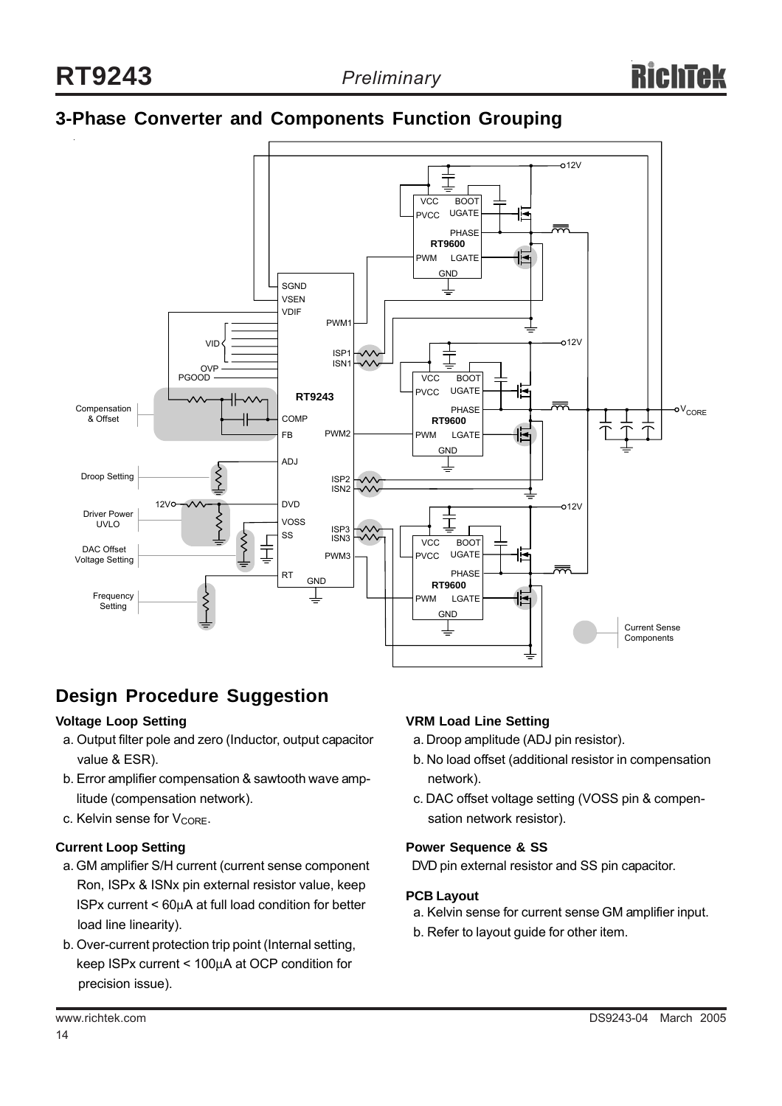# **3-Phase Converter and Components Function Grouping**



# **Design Procedure Suggestion**

### **Voltage Loop Setting**

- a. Output filter pole and zero (Inductor, output capacitor value & ESR).
- b. Error amplifier compensation & sawtooth wave amp litude (compensation network).
- c. Kelvin sense for  $V_{\text{CORF}}$ .

### **Current Loop Setting**

- a. GM amplifier S/H current (current sense component Ron, ISPx & ISNx pin external resistor value, keep ISPx current < 60µA at full load condition for better load line linearity).
- b. Over-current protection trip point (Internal setting, keep ISPx current < 100µA at OCP condition for precision issue).

### **VRM Load Line Setting**

- a. Droop amplitude (ADJ pin resistor).
- b. No load offset (additional resistor in compensation network).
- c. DAC offset voltage setting (VOSS pin & compen sation network resistor).

#### **Power Sequence & SS**

DVD pin external resistor and SS pin capacitor.

#### **PCB Layout**

- a. Kelvin sense for current sense GM amplifier input.
- b. Refer to layout guide for other item.

14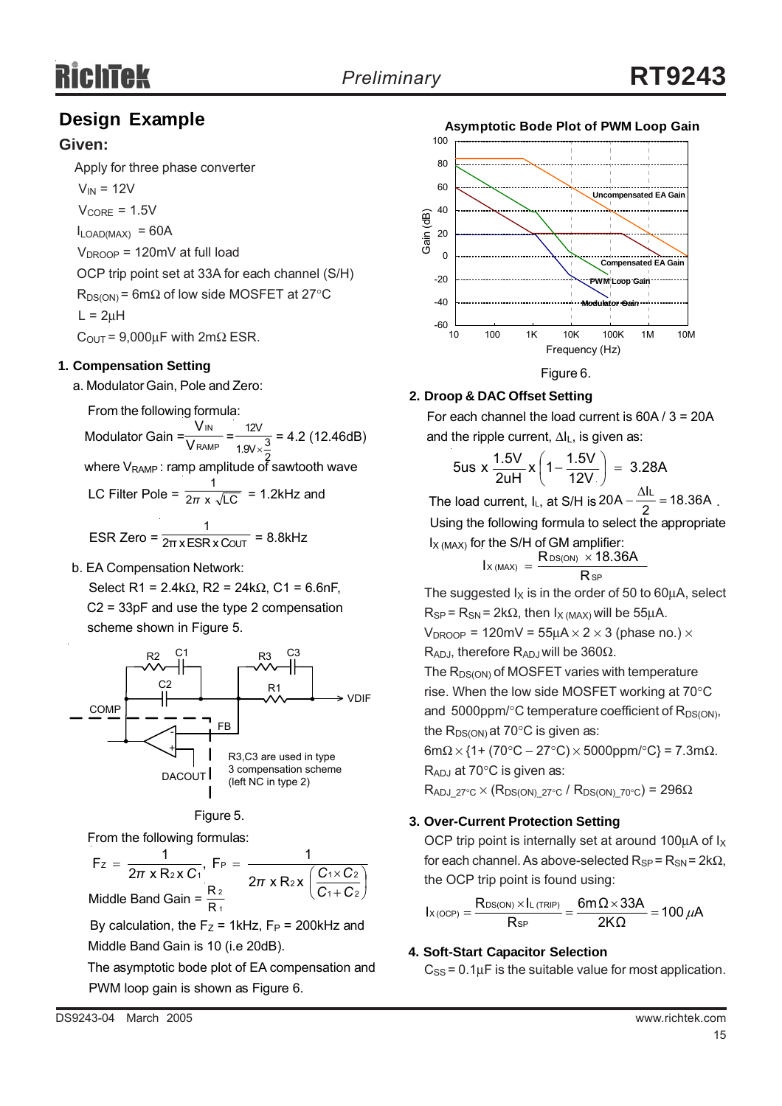# **Design Example**

## **Given:**

Apply for three phase converter

 $V_{IN}$  = 12V

 $V_{\text{CORE}} = 1.5V$ 

 $I_{LOAD(MAX)} = 60A$ 

 $V_{\text{DROOP}}$  = 120mV at full load

OCP trip point set at 33A for each channel (S/H)

 $R_{DS(ON)}$  = 6m $\Omega$  of low side MOSFET at 27°C  $L = 2uH$ 

 $C_{\text{OUT}} = 9,000 \mu F$  with  $2m\Omega$  ESR.

### **1. Compensation Setting**

a. Modulator Gain, Pole and Zero:

From the following formula:

Modulator Gain =  $\frac{100}{\text{V}_\text{RAMP}} = \frac{120}{190 \times 3} = 4.2$  (12.46dB) IN V V 12V 1.9V $\times\frac{3}{5}$ 

where  $V_{\text{RAMP}}$ : ramp amplitude of sawtooth wave

LC Filter Pole =  $\frac{1}{2\pi} \times \sqrt{LC}$  = 1.2kHz and 1 *π* 1

$$
ESR Zero = \frac{}{2\pi \times ESR \times \text{COUT}} = 8.8 \text{kHz}
$$

b. EA Compensation Network:

Select R1 = 2.4kΩ, R2 = 24kΩ, C1 = 6.6nF, C2 = 33pF and use the type 2 compensation scheme shown in Figure 5.



### Figure 5.

From the following formulas:

 $\sqrt{2}$ ⎠  $\left(\frac{C_1 \times C_2}{2}\right)$ ⎝  $\big($ +  $=\frac{1}{2\pi \times R_2 \times C_1}$ , F<sub>P</sub> =  $\frac{1}{2\pi \times R_1 \times C_1}$ 1 + C 2  $2x \left( \frac{C_1 \times C_2}{2} \right)$ P 2 X U 1 Z  $F_z = \frac{1}{2\pi x R_2 x C_1}$ ,  $F_P = \frac{1}{2\pi x R_2 x (}$ *C C*  $\pi$  x R<sub>2</sub> x C<sub>1</sub><sup> $\pi$ </sup> 2π x R<sub>2</sub> x  $\left(\frac{C_1 \times C_2}{C_1} \right)$ 1 2 Middle Band Gain =  $\frac{R}{R}$ 

By calculation, the  $F_Z$  = 1kHz,  $F_P$  = 200kHz and Middle Band Gain is 10 (i.e 20dB).

 The asymptotic bode plot of EA compensation and PWM loop gain is shown as Figure 6.



## **2. Droop & DAC Offset Setting**

 For each channel the load current is 60A / 3 = 20A and the ripple current, ∆IL, is given as:

$$
5us \times \frac{1.5V}{2uH} \times \left(1 - \frac{1.5V}{12V}\right) = 3.28A
$$

The load current, I<sub>L</sub>, at S/H is  $20A - \frac{\Delta I_L}{2} = 18.36A$ . Using the following formula to select the appropriate  $I_{X (MAX)}$  for the S/H of GM amplifier:

$$
I_{X\, (MAX)}\,=\,\frac{R_{DS(ON)}\,\times 18.36A}{R_{SP}}
$$

The suggested  $I_X$  is in the order of 50 to 60 $\mu$ A, select  $R_{SP}$  =  $R_{SN}$  = 2k $\Omega$ , then  $I_{X (MAX)}$  will be 55µA.

 $V_{\text{DROOP}}$  = 120mV = 55uA  $\times$  2  $\times$  3 (phase no.)  $\times$ R<sub>ADJ</sub>, therefore R<sub>ADJ</sub> will be 360Ω.

The  $R_{DS(ON)}$  of MOSFET varies with temperature rise. When the low side MOSFET working at 70°C and  $5000$ ppm/ $\degree$ C temperature coefficient of R<sub>DS(ON)</sub>, the  $R_{DS(ON)}$  at 70 $\degree$ C is given as:

 $6m\Omega \times \{1 + (70^{\circ}C - 27^{\circ}C) \times 5000$ ppm/ $^{\circ}C\} = 7.3m\Omega$ .  $R_{\mathsf{ADJ}}$  at 70°C is given as:

 $R_{ADJ-27°C} \times (R_{DS(ON)-27°C} / R_{DS(ON)-70°C}) = 296\Omega$ 

### **3. Over-Current Protection Setting**

OCP trip point is internally set at around 100 $\mu$ A of  $I_X$ for each channel. As above-selected  $R_{SP} = R_{SN} = 2k\Omega$ , the OCP trip point is found using:

$$
I_{X(\text{OCP})} = \frac{R_{\text{DS}(\text{ON})} \times I_{L(\text{TRIP})}}{R_{\text{SP}}} = \frac{6m\Omega \times 33A}{2K\Omega} = 100 \ \mu A
$$

### **4. Soft-Start Capacitor Selection**

 $C_{SS}$  = 0.1 $\mu$ F is the suitable value for most application.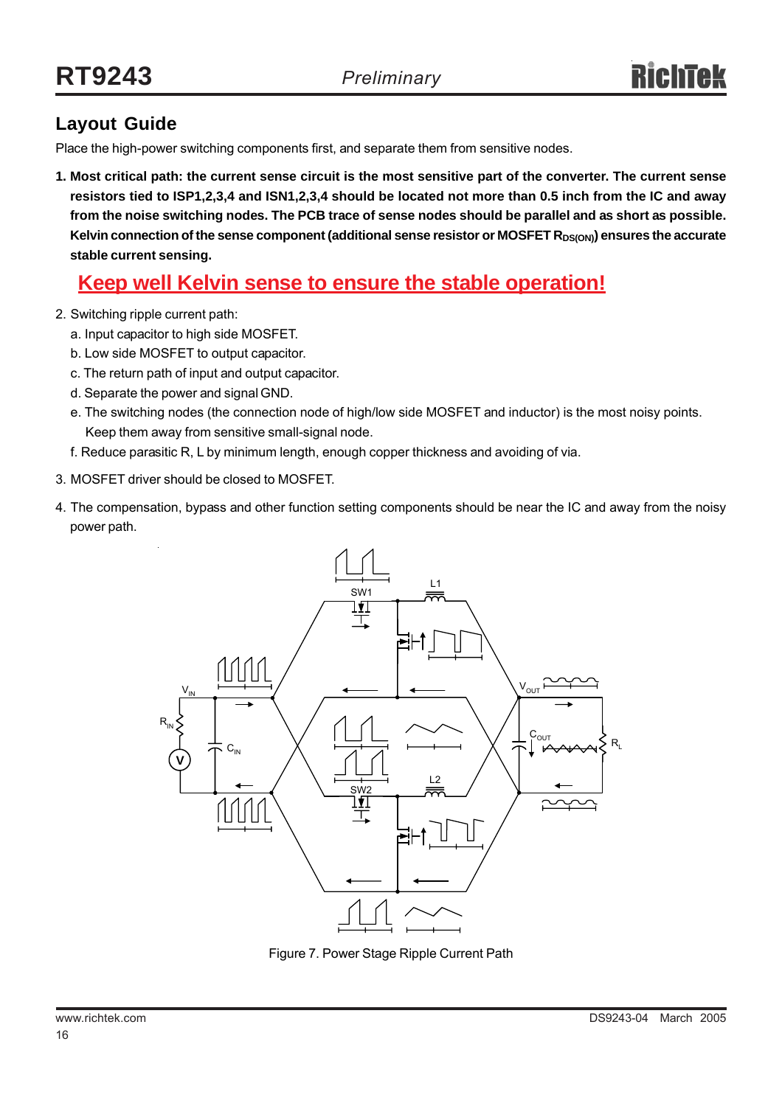# **Layout Guide**

Place the high-power switching components first, and separate them from sensitive nodes.

**1. Most critical path: the current sense circuit is the most sensitive part of the converter. The current sense resistors tied to ISP1,2,3,4 and ISN1,2,3,4 should be located not more than 0.5 inch from the IC and away from the noise switching nodes. The PCB trace of sense nodes should be parallel and as short as possible.** Kelvin connection of the sense component (additional sense resistor or MOSFET R<sub>DS(ON)</sub>) ensures the accurate **stable current sensing.**

# **Keep well Kelvin sense to ensure the stable operation!**

- 2. Switching ripple current path:
	- a. Input capacitor to high side MOSFET.
	- b. Low side MOSFET to output capacitor.
	- c. The return path of input and output capacitor.
	- d. Separate the power and signal GND.
	- e. The switching nodes (the connection node of high/low side MOSFET and inductor) is the most noisy points. Keep them away from sensitive small-signal node.
	- f. Reduce parasitic R, L by minimum length, enough copper thickness and avoiding of via.
- 3. MOSFET driver should be closed to MOSFET.
- 4. The compensation, bypass and other function setting components should be near the IC and away from the noisy power path.



Figure 7. Power Stage Ripple Current Path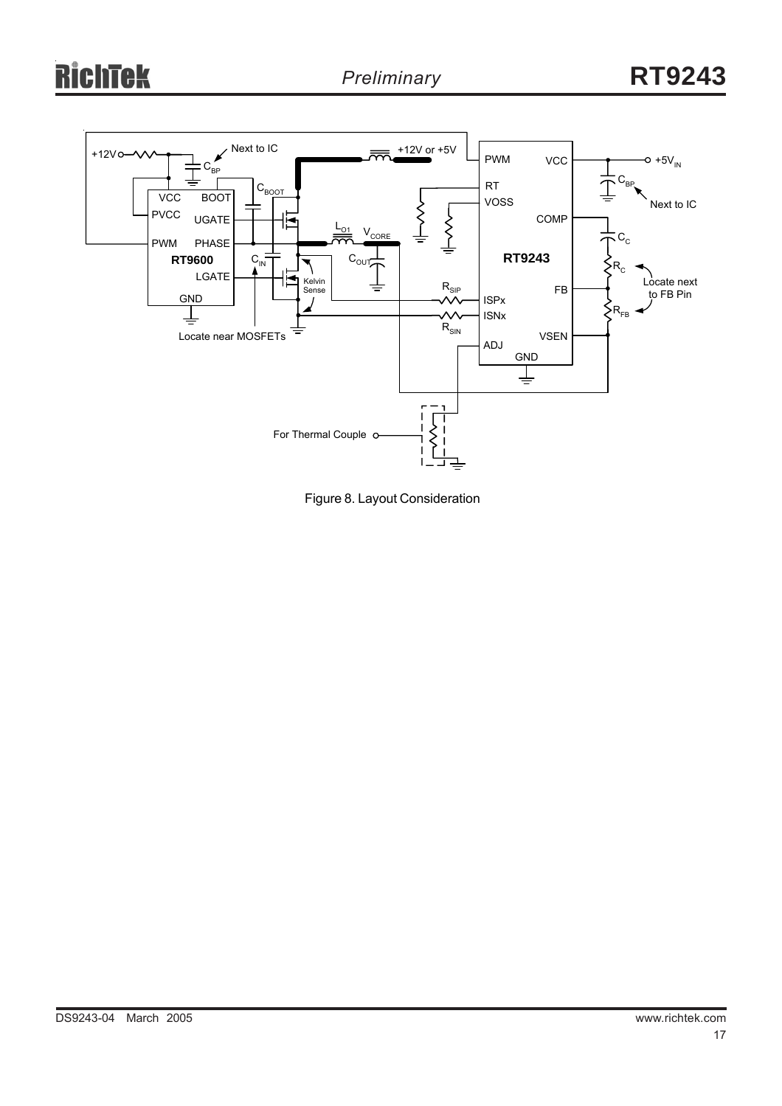# ichtek R



Figure 8. Layout Consideration